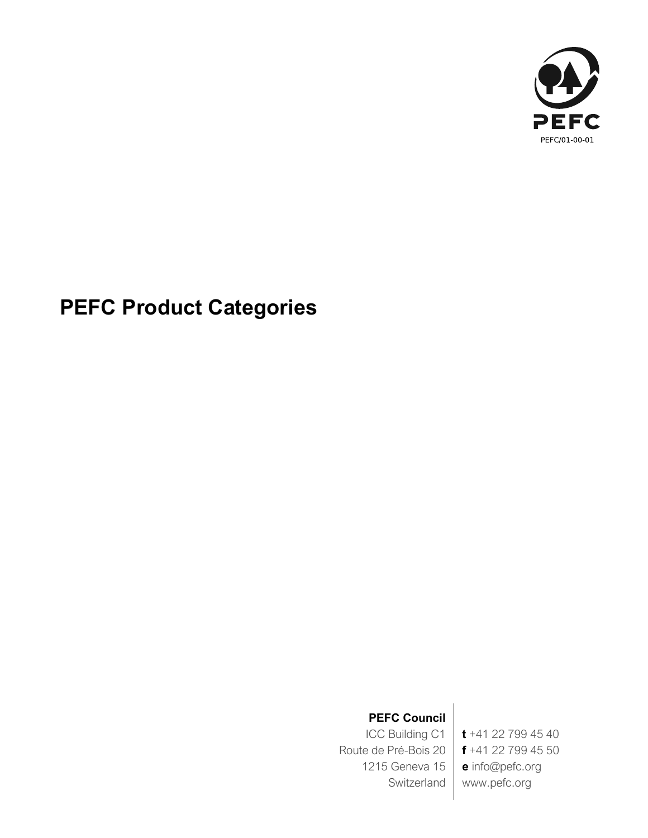

# **PEFC Product Categories**

## **PEFC Council**

ICC Building C1 Route de Pré-Bois 20 1215 Geneva 15 Switzerland

**t** +41 22 799 45 40 **f** +41 22 799 45 50 **e** info@pefc.org www.pefc.org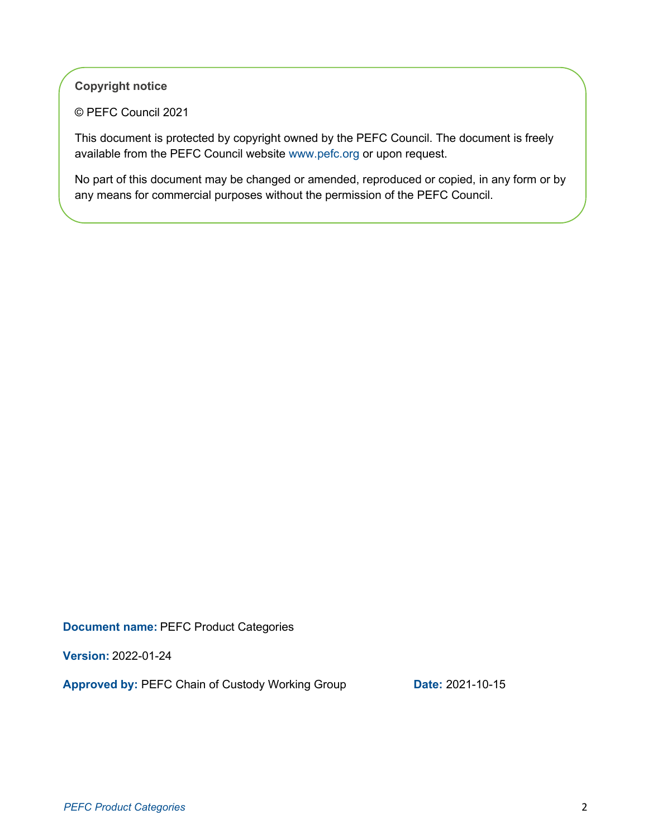**Copyright notice**

© PEFC Council 2021

This document is protected by copyright owned by the PEFC Council. The document is freely available from the PEFC Council website www.pefc.org or upon request.

No part of this document may be changed or amended, reproduced or copied, in any form or by any means for commercial purposes without the permission of the PEFC Council.

**Document name:** PEFC Product Categories

**Version:** 2022-01-24

**Approved by: PEFC Chain of Custody Working Group <b>Date:** 2021-10-15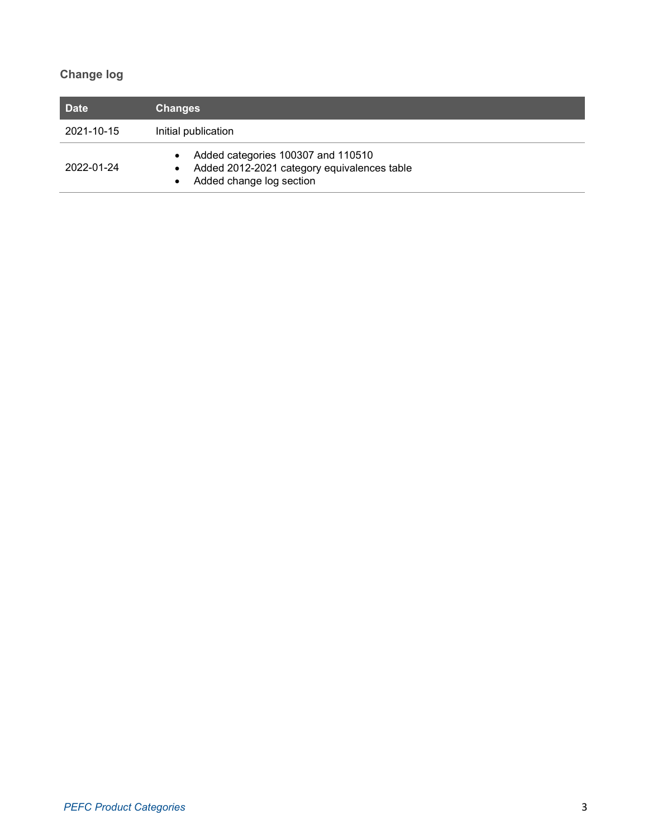### **Change log**

| Date       | <b>Changes</b>                                                                                                                                       |
|------------|------------------------------------------------------------------------------------------------------------------------------------------------------|
| 2021-10-15 | Initial publication                                                                                                                                  |
| 2022-01-24 | Added categories 100307 and 110510<br>$\bullet$<br>Added 2012-2021 category equivalences table<br>$\bullet$<br>Added change log section<br>$\bullet$ |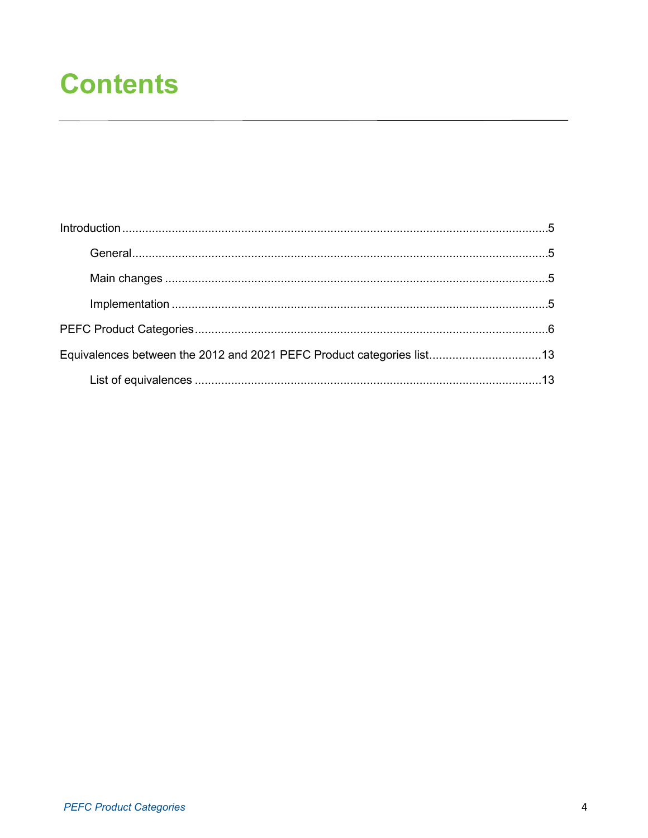# **Contents**

| Equivalences between the 2012 and 2021 PEFC Product categories list13 |  |
|-----------------------------------------------------------------------|--|
|                                                                       |  |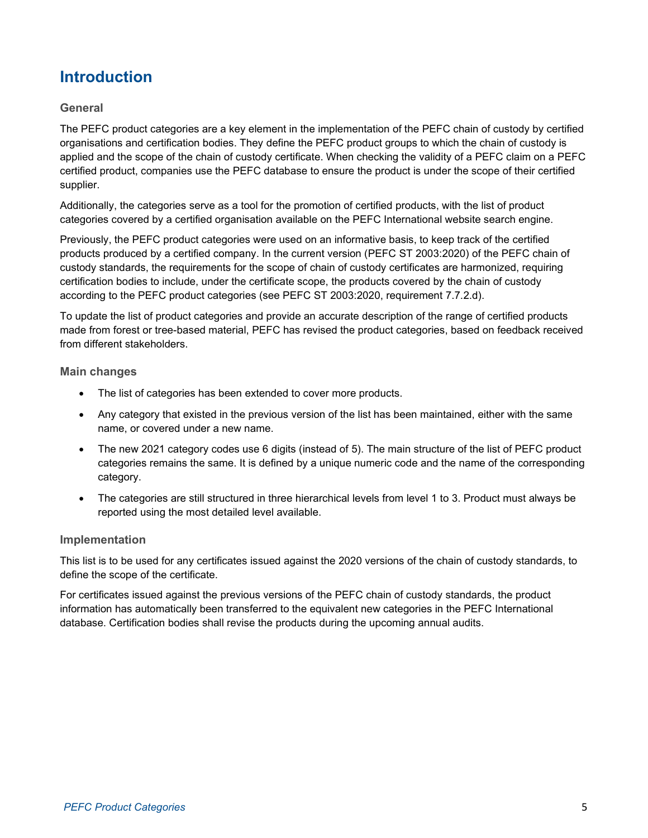## <span id="page-4-0"></span>**Introduction**

#### <span id="page-4-1"></span>**General**

The PEFC product categories are a key element in the implementation of the PEFC chain of custody by certified organisations and certification bodies. They define the PEFC product groups to which the chain of custody is applied and the scope of the chain of custody certificate. When checking the validity of a PEFC claim on a PEFC certified product, companies use the PEFC database to ensure the product is under the scope of their certified supplier.

Additionally, the categories serve as a tool for the promotion of certified products, with the list of product categories covered by a certified organisation available on the PEFC International website search engine.

Previously, the PEFC product categories were used on an informative basis, to keep track of the certified products produced by a certified company. In the current version (PEFC ST 2003:2020) of the PEFC chain of custody standards, the requirements for the scope of chain of custody certificates are harmonized, requiring certification bodies to include, under the certificate scope, the products covered by the chain of custody according to the PEFC product categories (see PEFC ST 2003:2020, requirement 7.7.2.d).

To update the list of product categories and provide an accurate description of the range of certified products made from forest or tree-based material, PEFC has revised the product categories, based on feedback received from different stakeholders.

#### <span id="page-4-2"></span>**Main changes**

- The list of categories has been extended to cover more products.
- Any category that existed in the previous version of the list has been maintained, either with the same name, or covered under a new name.
- The new 2021 category codes use 6 digits (instead of 5). The main structure of the list of PEFC product categories remains the same. It is defined by a unique numeric code and the name of the corresponding category.
- The categories are still structured in three hierarchical levels from level 1 to 3. Product must always be reported using the most detailed level available.

#### <span id="page-4-3"></span>**Implementation**

This list is to be used for any certificates issued against the 2020 versions of the chain of custody standards, to define the scope of the certificate.

For certificates issued against the previous versions of the PEFC chain of custody standards, the product information has automatically been transferred to the equivalent new categories in the PEFC International database. Certification bodies shall revise the products during the upcoming annual audits.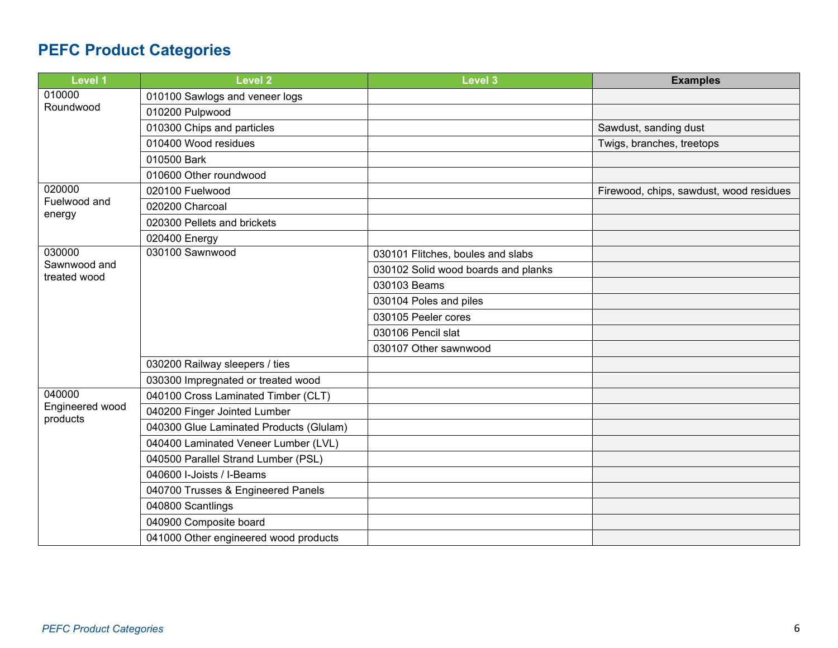# **PEFC Product Categories**

<span id="page-5-0"></span>

| <b>Level 1</b>               | <b>Level 2</b>                          | <b>Level 3</b>                      | <b>Examples</b>                         |
|------------------------------|-----------------------------------------|-------------------------------------|-----------------------------------------|
| 010000<br>Roundwood          | 010100 Sawlogs and veneer logs          |                                     |                                         |
|                              | 010200 Pulpwood                         |                                     |                                         |
|                              | 010300 Chips and particles              |                                     | Sawdust, sanding dust                   |
|                              | 010400 Wood residues                    |                                     | Twigs, branches, treetops               |
|                              | 010500 Bark                             |                                     |                                         |
|                              | 010600 Other roundwood                  |                                     |                                         |
| 020000                       | 020100 Fuelwood                         |                                     | Firewood, chips, sawdust, wood residues |
| Fuelwood and                 | 020200 Charcoal                         |                                     |                                         |
| energy                       | 020300 Pellets and brickets             |                                     |                                         |
|                              | 020400 Energy                           |                                     |                                         |
| 030000                       | 030100 Sawnwood                         | 030101 Flitches, boules and slabs   |                                         |
| Sawnwood and<br>treated wood |                                         | 030102 Solid wood boards and planks |                                         |
|                              |                                         | 030103 Beams                        |                                         |
|                              |                                         | 030104 Poles and piles              |                                         |
|                              |                                         | 030105 Peeler cores                 |                                         |
|                              |                                         | 030106 Pencil slat                  |                                         |
|                              |                                         | 030107 Other sawnwood               |                                         |
|                              | 030200 Railway sleepers / ties          |                                     |                                         |
|                              | 030300 Impregnated or treated wood      |                                     |                                         |
| 040000                       | 040100 Cross Laminated Timber (CLT)     |                                     |                                         |
| Engineered wood<br>products  | 040200 Finger Jointed Lumber            |                                     |                                         |
|                              | 040300 Glue Laminated Products (Glulam) |                                     |                                         |
|                              | 040400 Laminated Veneer Lumber (LVL)    |                                     |                                         |
|                              | 040500 Parallel Strand Lumber (PSL)     |                                     |                                         |
|                              | 040600 I-Joists / I-Beams               |                                     |                                         |
|                              | 040700 Trusses & Engineered Panels      |                                     |                                         |
|                              | 040800 Scantlings                       |                                     |                                         |
|                              | 040900 Composite board                  |                                     |                                         |
|                              | 041000 Other engineered wood products   |                                     |                                         |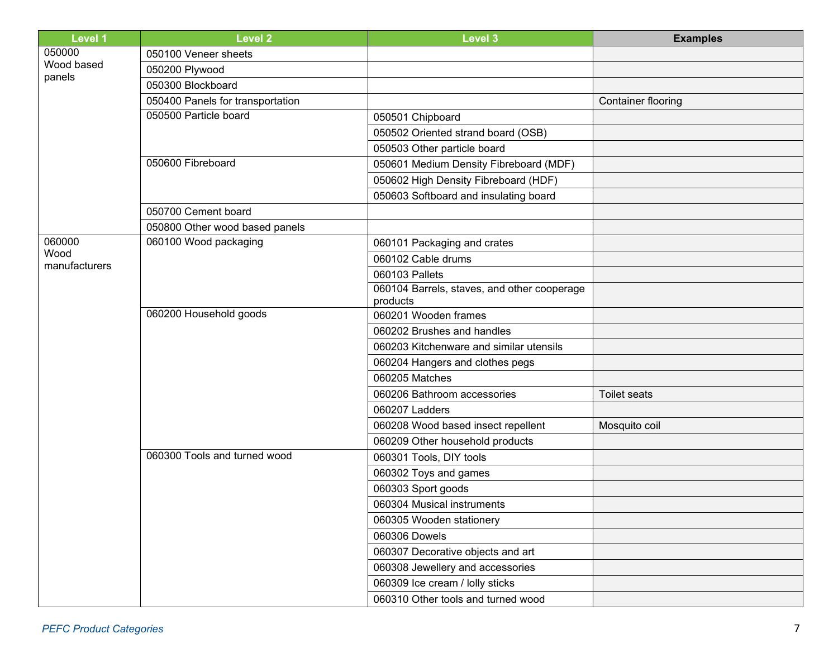| <b>Level 1</b> | <b>Level 2</b>                   | Level 3                                     | <b>Examples</b>     |
|----------------|----------------------------------|---------------------------------------------|---------------------|
| 050000         | 050100 Veneer sheets             |                                             |                     |
| Wood based     | 050200 Plywood                   |                                             |                     |
| panels         | 050300 Blockboard                |                                             |                     |
|                | 050400 Panels for transportation |                                             | Container flooring  |
|                | 050500 Particle board            | 050501 Chipboard                            |                     |
|                |                                  | 050502 Oriented strand board (OSB)          |                     |
|                |                                  | 050503 Other particle board                 |                     |
|                | 050600 Fibreboard                | 050601 Medium Density Fibreboard (MDF)      |                     |
|                |                                  | 050602 High Density Fibreboard (HDF)        |                     |
|                |                                  | 050603 Softboard and insulating board       |                     |
|                | 050700 Cement board              |                                             |                     |
|                | 050800 Other wood based panels   |                                             |                     |
| 060000         | 060100 Wood packaging            | 060101 Packaging and crates                 |                     |
| Wood           |                                  | 060102 Cable drums                          |                     |
| manufacturers  |                                  | 060103 Pallets                              |                     |
|                |                                  | 060104 Barrels, staves, and other cooperage |                     |
|                |                                  | products                                    |                     |
|                | 060200 Household goods           | 060201 Wooden frames                        |                     |
|                |                                  | 060202 Brushes and handles                  |                     |
|                |                                  | 060203 Kitchenware and similar utensils     |                     |
|                |                                  | 060204 Hangers and clothes pegs             |                     |
|                |                                  | 060205 Matches                              |                     |
|                |                                  | 060206 Bathroom accessories                 | <b>Toilet seats</b> |
|                |                                  | 060207 Ladders                              |                     |
|                |                                  | 060208 Wood based insect repellent          | Mosquito coil       |
|                |                                  | 060209 Other household products             |                     |
|                | 060300 Tools and turned wood     | 060301 Tools, DIY tools                     |                     |
|                |                                  | 060302 Toys and games                       |                     |
|                |                                  | 060303 Sport goods                          |                     |
|                |                                  | 060304 Musical instruments                  |                     |
|                |                                  | 060305 Wooden stationery                    |                     |
|                |                                  | 060306 Dowels                               |                     |
|                |                                  | 060307 Decorative objects and art           |                     |
|                |                                  | 060308 Jewellery and accessories            |                     |
|                |                                  | 060309 Ice cream / lolly sticks             |                     |
|                |                                  | 060310 Other tools and turned wood          |                     |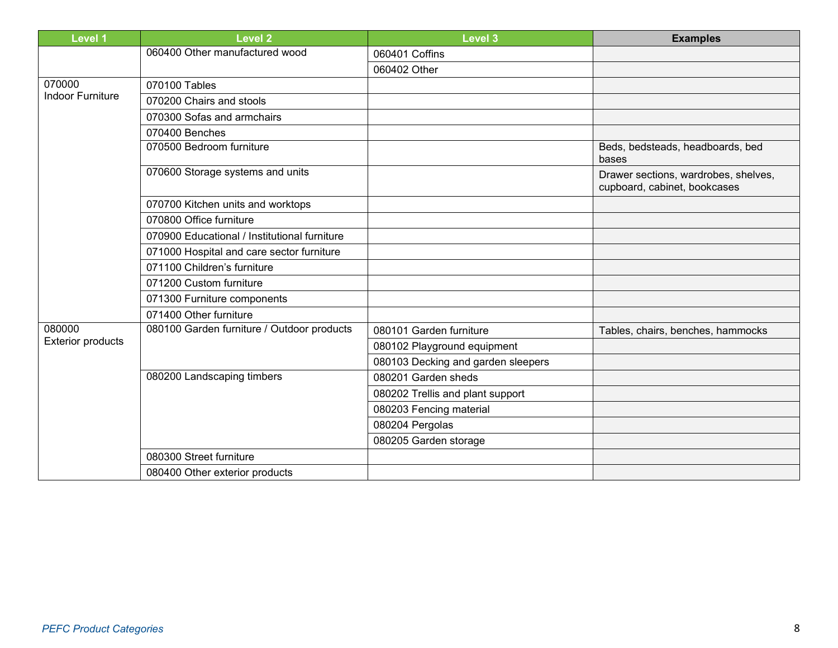| <b>Level 1</b>           | <b>Level 2</b>                               | <b>Level 3</b>                     | <b>Examples</b>                                                      |
|--------------------------|----------------------------------------------|------------------------------------|----------------------------------------------------------------------|
|                          | 060400 Other manufactured wood               | 060401 Coffins                     |                                                                      |
|                          |                                              | 060402 Other                       |                                                                      |
| 070000                   | 070100 Tables                                |                                    |                                                                      |
| <b>Indoor Furniture</b>  | 070200 Chairs and stools                     |                                    |                                                                      |
|                          | 070300 Sofas and armchairs                   |                                    |                                                                      |
|                          | 070400 Benches                               |                                    |                                                                      |
|                          | 070500 Bedroom furniture                     |                                    | Beds, bedsteads, headboards, bed<br>bases                            |
|                          | 070600 Storage systems and units             |                                    | Drawer sections, wardrobes, shelves,<br>cupboard, cabinet, bookcases |
|                          | 070700 Kitchen units and worktops            |                                    |                                                                      |
|                          | 070800 Office furniture                      |                                    |                                                                      |
|                          | 070900 Educational / Institutional furniture |                                    |                                                                      |
|                          | 071000 Hospital and care sector furniture    |                                    |                                                                      |
|                          | 071100 Children's furniture                  |                                    |                                                                      |
|                          | 071200 Custom furniture                      |                                    |                                                                      |
|                          | 071300 Furniture components                  |                                    |                                                                      |
|                          | 071400 Other furniture                       |                                    |                                                                      |
| 080000                   | 080100 Garden furniture / Outdoor products   | 080101 Garden furniture            | Tables, chairs, benches, hammocks                                    |
| <b>Exterior products</b> |                                              | 080102 Playground equipment        |                                                                      |
|                          |                                              | 080103 Decking and garden sleepers |                                                                      |
|                          | 080200 Landscaping timbers                   | 080201 Garden sheds                |                                                                      |
|                          |                                              | 080202 Trellis and plant support   |                                                                      |
|                          |                                              | 080203 Fencing material            |                                                                      |
|                          |                                              | 080204 Pergolas                    |                                                                      |
|                          |                                              | 080205 Garden storage              |                                                                      |
|                          | 080300 Street furniture                      |                                    |                                                                      |
|                          | 080400 Other exterior products               |                                    |                                                                      |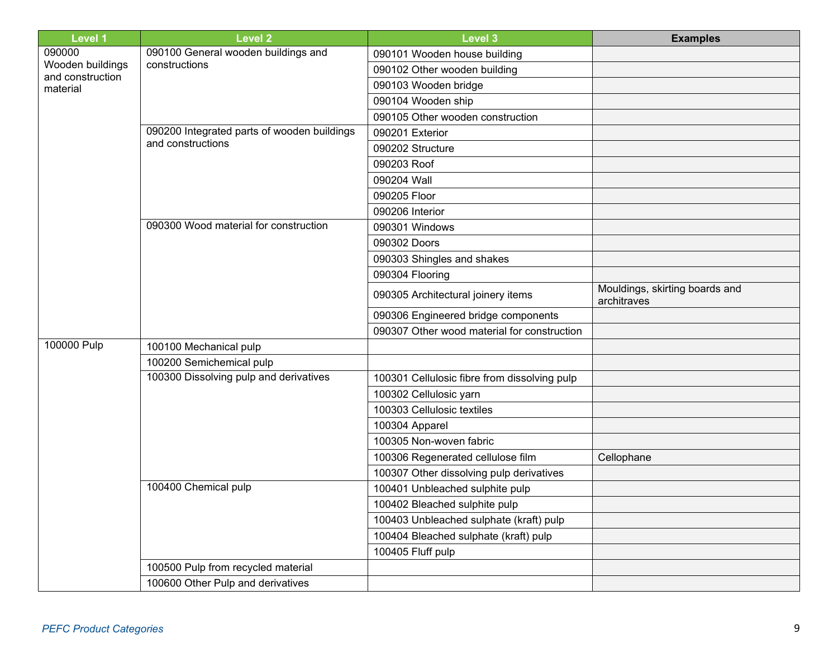| <b>Level 1</b>                       | <b>Level 2</b>                              | <b>Level 3</b>                               | <b>Examples</b>                               |
|--------------------------------------|---------------------------------------------|----------------------------------------------|-----------------------------------------------|
| 090000                               | 090100 General wooden buildings and         | 090101 Wooden house building                 |                                               |
| Wooden buildings<br>and construction | constructions                               | 090102 Other wooden building                 |                                               |
| material                             |                                             | 090103 Wooden bridge                         |                                               |
|                                      |                                             | 090104 Wooden ship                           |                                               |
|                                      |                                             | 090105 Other wooden construction             |                                               |
|                                      | 090200 Integrated parts of wooden buildings | 090201 Exterior                              |                                               |
|                                      | and constructions                           | 090202 Structure                             |                                               |
|                                      |                                             | 090203 Roof                                  |                                               |
|                                      |                                             | 090204 Wall                                  |                                               |
|                                      |                                             | 090205 Floor                                 |                                               |
|                                      |                                             | 090206 Interior                              |                                               |
|                                      | 090300 Wood material for construction       | 090301 Windows                               |                                               |
|                                      |                                             | 090302 Doors                                 |                                               |
|                                      |                                             | 090303 Shingles and shakes                   |                                               |
|                                      |                                             | 090304 Flooring                              |                                               |
|                                      |                                             | 090305 Architectural joinery items           | Mouldings, skirting boards and<br>architraves |
|                                      |                                             | 090306 Engineered bridge components          |                                               |
|                                      |                                             | 090307 Other wood material for construction  |                                               |
| 100000 Pulp                          | 100100 Mechanical pulp                      |                                              |                                               |
|                                      | 100200 Semichemical pulp                    |                                              |                                               |
|                                      | 100300 Dissolving pulp and derivatives      | 100301 Cellulosic fibre from dissolving pulp |                                               |
|                                      |                                             | 100302 Cellulosic yarn                       |                                               |
|                                      |                                             | 100303 Cellulosic textiles                   |                                               |
|                                      |                                             | 100304 Apparel                               |                                               |
|                                      |                                             | 100305 Non-woven fabric                      |                                               |
|                                      |                                             | 100306 Regenerated cellulose film            | Cellophane                                    |
|                                      |                                             | 100307 Other dissolving pulp derivatives     |                                               |
|                                      | 100400 Chemical pulp                        | 100401 Unbleached sulphite pulp              |                                               |
|                                      |                                             | 100402 Bleached sulphite pulp                |                                               |
|                                      |                                             | 100403 Unbleached sulphate (kraft) pulp      |                                               |
|                                      |                                             | 100404 Bleached sulphate (kraft) pulp        |                                               |
|                                      |                                             | 100405 Fluff pulp                            |                                               |
|                                      | 100500 Pulp from recycled material          |                                              |                                               |
|                                      | 100600 Other Pulp and derivatives           |                                              |                                               |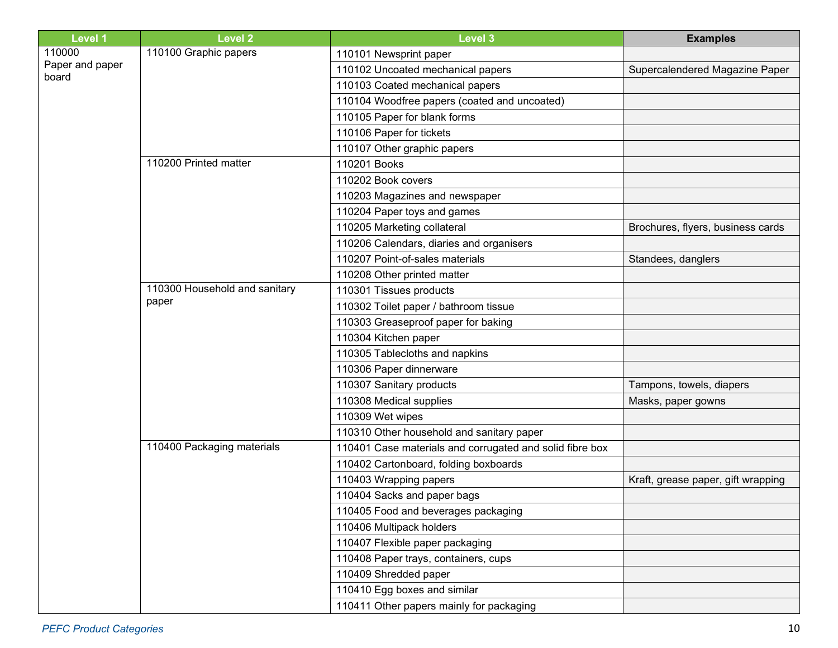| <b>Level 1</b>           | <b>Level 2</b>                | <b>Level 3</b>                                           | <b>Examples</b>                    |
|--------------------------|-------------------------------|----------------------------------------------------------|------------------------------------|
| 110000                   | 110100 Graphic papers         | 110101 Newsprint paper                                   |                                    |
| Paper and paper<br>board |                               | 110102 Uncoated mechanical papers                        | Supercalendered Magazine Paper     |
|                          |                               | 110103 Coated mechanical papers                          |                                    |
|                          |                               | 110104 Woodfree papers (coated and uncoated)             |                                    |
|                          |                               | 110105 Paper for blank forms                             |                                    |
|                          |                               | 110106 Paper for tickets                                 |                                    |
|                          |                               | 110107 Other graphic papers                              |                                    |
|                          | 110200 Printed matter         | 110201 Books                                             |                                    |
|                          |                               | 110202 Book covers                                       |                                    |
|                          |                               | 110203 Magazines and newspaper                           |                                    |
|                          |                               | 110204 Paper toys and games                              |                                    |
|                          |                               | 110205 Marketing collateral                              | Brochures, flyers, business cards  |
|                          |                               | 110206 Calendars, diaries and organisers                 |                                    |
|                          |                               | 110207 Point-of-sales materials                          | Standees, danglers                 |
|                          |                               | 110208 Other printed matter                              |                                    |
|                          | 110300 Household and sanitary | 110301 Tissues products                                  |                                    |
|                          | paper                         | 110302 Toilet paper / bathroom tissue                    |                                    |
|                          |                               | 110303 Greaseproof paper for baking                      |                                    |
|                          |                               | 110304 Kitchen paper                                     |                                    |
|                          |                               | 110305 Tablecloths and napkins                           |                                    |
|                          |                               | 110306 Paper dinnerware                                  |                                    |
|                          |                               | 110307 Sanitary products                                 | Tampons, towels, diapers           |
|                          |                               | 110308 Medical supplies                                  | Masks, paper gowns                 |
|                          |                               | 110309 Wet wipes                                         |                                    |
|                          |                               | 110310 Other household and sanitary paper                |                                    |
|                          | 110400 Packaging materials    | 110401 Case materials and corrugated and solid fibre box |                                    |
|                          |                               | 110402 Cartonboard, folding boxboards                    |                                    |
|                          |                               | 110403 Wrapping papers                                   | Kraft, grease paper, gift wrapping |
|                          |                               | 110404 Sacks and paper bags                              |                                    |
|                          |                               | 110405 Food and beverages packaging                      |                                    |
|                          |                               | 110406 Multipack holders                                 |                                    |
|                          |                               | 110407 Flexible paper packaging                          |                                    |
|                          |                               | 110408 Paper trays, containers, cups                     |                                    |
|                          |                               | 110409 Shredded paper                                    |                                    |
|                          |                               | 110410 Egg boxes and similar                             |                                    |
|                          |                               | 110411 Other papers mainly for packaging                 |                                    |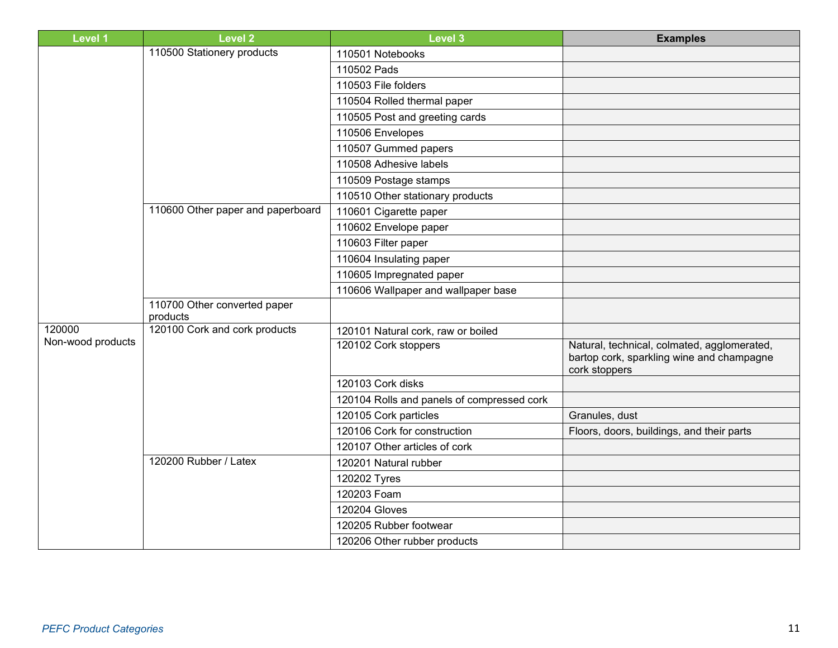| <b>Level 1</b>    | <b>Level 2</b>                           | <b>Level 3</b>                             | <b>Examples</b>                                                                                           |
|-------------------|------------------------------------------|--------------------------------------------|-----------------------------------------------------------------------------------------------------------|
|                   | 110500 Stationery products               | 110501 Notebooks                           |                                                                                                           |
|                   |                                          | 110502 Pads                                |                                                                                                           |
|                   |                                          | 110503 File folders                        |                                                                                                           |
|                   |                                          | 110504 Rolled thermal paper                |                                                                                                           |
|                   |                                          | 110505 Post and greeting cards             |                                                                                                           |
|                   |                                          | 110506 Envelopes                           |                                                                                                           |
|                   |                                          | 110507 Gummed papers                       |                                                                                                           |
|                   |                                          | 110508 Adhesive labels                     |                                                                                                           |
|                   |                                          | 110509 Postage stamps                      |                                                                                                           |
|                   |                                          | 110510 Other stationary products           |                                                                                                           |
|                   | 110600 Other paper and paperboard        | 110601 Cigarette paper                     |                                                                                                           |
|                   |                                          | 110602 Envelope paper                      |                                                                                                           |
|                   |                                          | 110603 Filter paper                        |                                                                                                           |
|                   |                                          | 110604 Insulating paper                    |                                                                                                           |
|                   |                                          | 110605 Impregnated paper                   |                                                                                                           |
|                   |                                          | 110606 Wallpaper and wallpaper base        |                                                                                                           |
|                   | 110700 Other converted paper<br>products |                                            |                                                                                                           |
| 120000            | 120100 Cork and cork products            | 120101 Natural cork, raw or boiled         |                                                                                                           |
| Non-wood products |                                          | 120102 Cork stoppers                       | Natural, technical, colmated, agglomerated,<br>bartop cork, sparkling wine and champagne<br>cork stoppers |
|                   |                                          | 120103 Cork disks                          |                                                                                                           |
|                   |                                          | 120104 Rolls and panels of compressed cork |                                                                                                           |
|                   |                                          | 120105 Cork particles                      | Granules, dust                                                                                            |
|                   |                                          | 120106 Cork for construction               | Floors, doors, buildings, and their parts                                                                 |
|                   |                                          | 120107 Other articles of cork              |                                                                                                           |
|                   | 120200 Rubber / Latex                    | 120201 Natural rubber                      |                                                                                                           |
|                   |                                          | 120202 Tyres                               |                                                                                                           |
|                   |                                          | 120203 Foam                                |                                                                                                           |
|                   |                                          | <b>120204 Gloves</b>                       |                                                                                                           |
|                   |                                          | 120205 Rubber footwear                     |                                                                                                           |
|                   |                                          | 120206 Other rubber products               |                                                                                                           |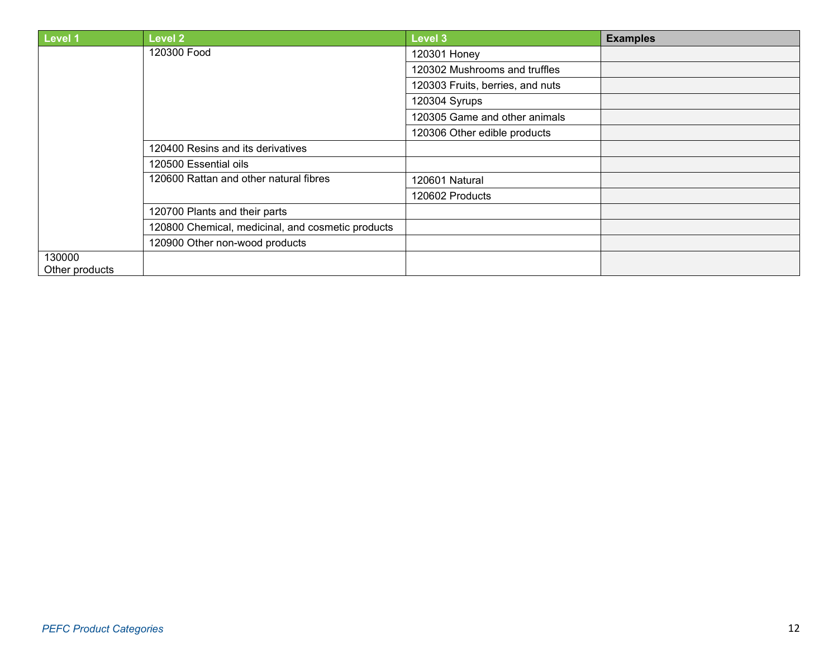| Level 1        | Level 2                                           | <b>Level 3</b>                   | <b>Examples</b> |
|----------------|---------------------------------------------------|----------------------------------|-----------------|
|                | 120300 Food                                       | 120301 Honey                     |                 |
|                |                                                   | 120302 Mushrooms and truffles    |                 |
|                |                                                   | 120303 Fruits, berries, and nuts |                 |
|                |                                                   | 120304 Syrups                    |                 |
|                |                                                   | 120305 Game and other animals    |                 |
|                |                                                   | 120306 Other edible products     |                 |
|                | 120400 Resins and its derivatives                 |                                  |                 |
|                | 120500 Essential oils                             |                                  |                 |
|                | 120600 Rattan and other natural fibres            | 120601 Natural                   |                 |
|                |                                                   | 120602 Products                  |                 |
|                | 120700 Plants and their parts                     |                                  |                 |
|                | 120800 Chemical, medicinal, and cosmetic products |                                  |                 |
|                | 120900 Other non-wood products                    |                                  |                 |
| 130000         |                                                   |                                  |                 |
| Other products |                                                   |                                  |                 |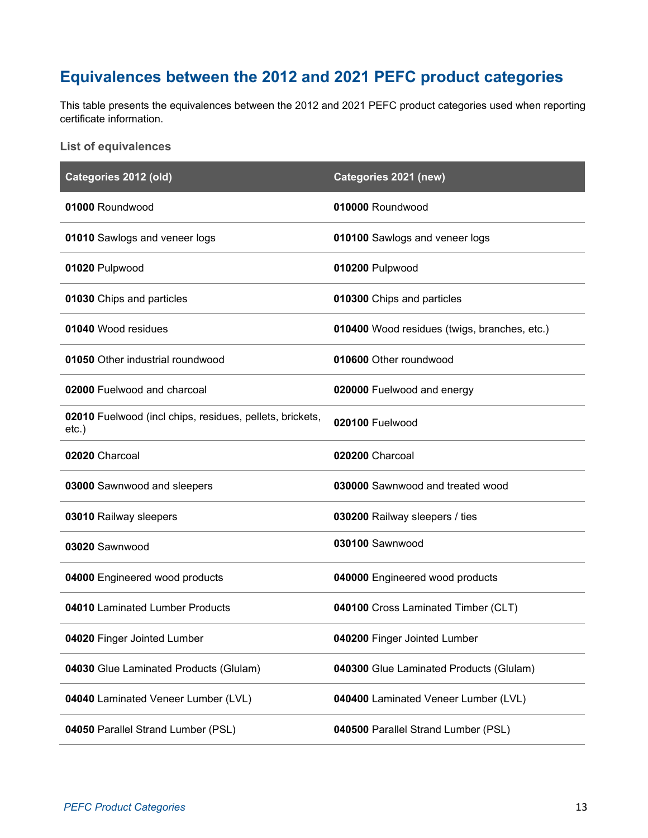# <span id="page-12-0"></span>**Equivalences between the 2012 and 2021 PEFC product categories**

This table presents the equivalences between the 2012 and 2021 PEFC product categories used when reporting certificate information.

#### <span id="page-12-1"></span>**List of equivalences**

| Categories 2012 (old)                                                | Categories 2021 (new)                        |
|----------------------------------------------------------------------|----------------------------------------------|
| 01000 Roundwood                                                      | 010000 Roundwood                             |
| 01010 Sawlogs and veneer logs                                        | 010100 Sawlogs and veneer logs               |
| 01020 Pulpwood                                                       | 010200 Pulpwood                              |
| 01030 Chips and particles                                            | 010300 Chips and particles                   |
| 01040 Wood residues                                                  | 010400 Wood residues (twigs, branches, etc.) |
| 01050 Other industrial roundwood                                     | 010600 Other roundwood                       |
| 02000 Fuelwood and charcoal                                          | 020000 Fuelwood and energy                   |
| 02010 Fuelwood (incl chips, residues, pellets, brickets,<br>$etc.$ ) | 020100 Fuelwood                              |
| 02020 Charcoal                                                       | 020200 Charcoal                              |
| 03000 Sawnwood and sleepers                                          | 030000 Sawnwood and treated wood             |
| 03010 Railway sleepers                                               | 030200 Railway sleepers / ties               |
| 03020 Sawnwood                                                       | 030100 Sawnwood                              |
| 04000 Engineered wood products                                       | 040000 Engineered wood products              |
| 04010 Laminated Lumber Products                                      | 040100 Cross Laminated Timber (CLT)          |
| 04020 Finger Jointed Lumber                                          | 040200 Finger Jointed Lumber                 |
| 04030 Glue Laminated Products (Glulam)                               | 040300 Glue Laminated Products (Glulam)      |
| 04040 Laminated Veneer Lumber (LVL)                                  | 040400 Laminated Veneer Lumber (LVL)         |
| 04050 Parallel Strand Lumber (PSL)                                   | 040500 Parallel Strand Lumber (PSL)          |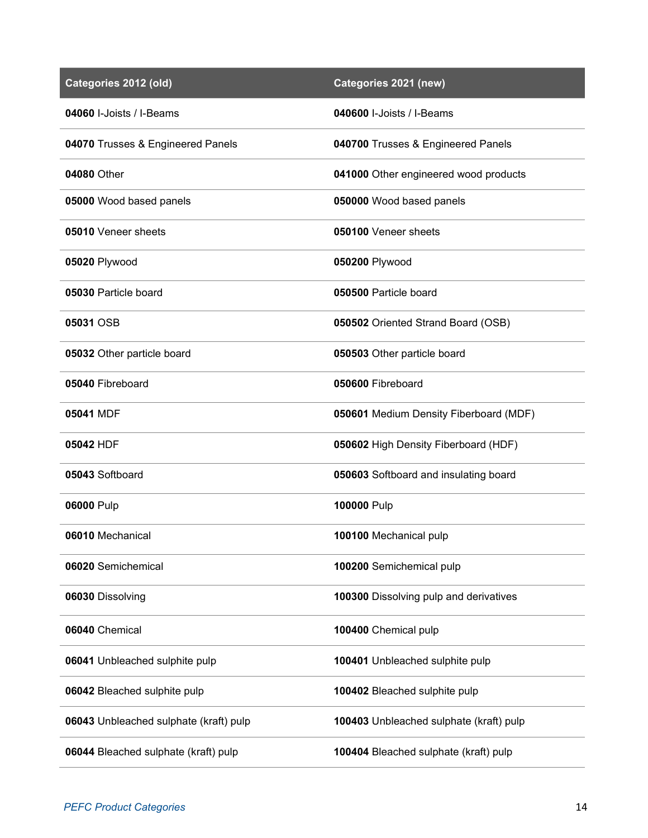| Categories 2012 (old)                  | Categories 2021 (new)                   |
|----------------------------------------|-----------------------------------------|
| 04060 I-Joists / I-Beams               | 040600 I-Joists / I-Beams               |
| 04070 Trusses & Engineered Panels      | 040700 Trusses & Engineered Panels      |
| 04080 Other                            | 041000 Other engineered wood products   |
| 05000 Wood based panels                | 050000 Wood based panels                |
| 05010 Veneer sheets                    | 050100 Veneer sheets                    |
| 05020 Plywood                          | 050200 Plywood                          |
| 05030 Particle board                   | 050500 Particle board                   |
| 05031 OSB                              | 050502 Oriented Strand Board (OSB)      |
| 05032 Other particle board             | 050503 Other particle board             |
| 05040 Fibreboard                       | 050600 Fibreboard                       |
| 05041 MDF                              | 050601 Medium Density Fiberboard (MDF)  |
| 05042 HDF                              | 050602 High Density Fiberboard (HDF)    |
| 05043 Softboard                        | 050603 Softboard and insulating board   |
| 06000 Pulp                             | 100000 Pulp                             |
| 06010 Mechanical                       | 100100 Mechanical pulp                  |
| 06020 Semichemical                     | 100200 Semichemical pulp                |
| 06030 Dissolving                       | 100300 Dissolving pulp and derivatives  |
| 06040 Chemical                         | 100400 Chemical pulp                    |
| 06041 Unbleached sulphite pulp         | 100401 Unbleached sulphite pulp         |
| 06042 Bleached sulphite pulp           | 100402 Bleached sulphite pulp           |
| 06043 Unbleached sulphate (kraft) pulp | 100403 Unbleached sulphate (kraft) pulp |
| 06044 Bleached sulphate (kraft) pulp   | 100404 Bleached sulphate (kraft) pulp   |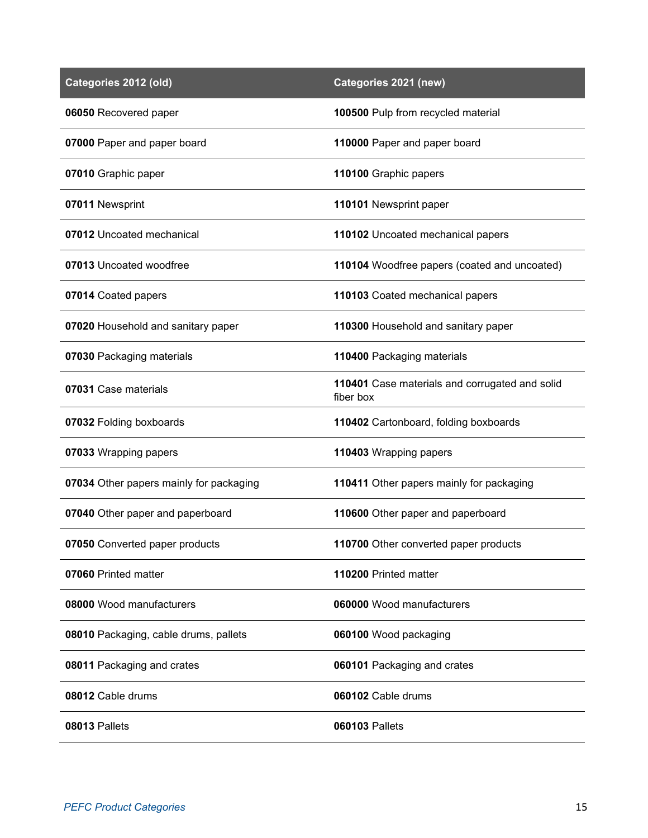| Categories 2012 (old)                   | Categories 2021 (new)                                       |
|-----------------------------------------|-------------------------------------------------------------|
| 06050 Recovered paper                   | 100500 Pulp from recycled material                          |
| 07000 Paper and paper board             | 110000 Paper and paper board                                |
| 07010 Graphic paper                     | 110100 Graphic papers                                       |
| 07011 Newsprint                         | 110101 Newsprint paper                                      |
| 07012 Uncoated mechanical               | 110102 Uncoated mechanical papers                           |
| 07013 Uncoated woodfree                 | 110104 Woodfree papers (coated and uncoated)                |
| 07014 Coated papers                     | 110103 Coated mechanical papers                             |
| 07020 Household and sanitary paper      | 110300 Household and sanitary paper                         |
| 07030 Packaging materials               | 110400 Packaging materials                                  |
| 07031 Case materials                    | 110401 Case materials and corrugated and solid<br>fiber box |
| 07032 Folding boxboards                 | 110402 Cartonboard, folding boxboards                       |
| 07033 Wrapping papers                   | 110403 Wrapping papers                                      |
| 07034 Other papers mainly for packaging | 110411 Other papers mainly for packaging                    |
| 07040 Other paper and paperboard        | 110600 Other paper and paperboard                           |
| 07050 Converted paper products          | 110700 Other converted paper products                       |
| 07060 Printed matter                    | 110200 Printed matter                                       |
| 08000 Wood manufacturers                | 060000 Wood manufacturers                                   |
| 08010 Packaging, cable drums, pallets   | 060100 Wood packaging                                       |
| 08011 Packaging and crates              | 060101 Packaging and crates                                 |
| 08012 Cable drums                       | 060102 Cable drums                                          |
| 08013 Pallets                           | <b>060103 Pallets</b>                                       |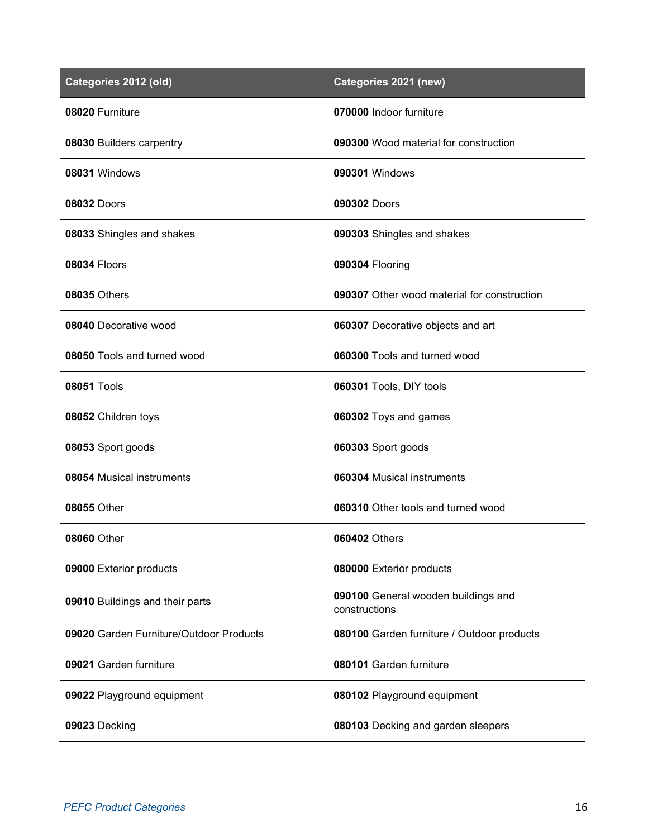| Categories 2012 (old)                   | Categories 2021 (new)                                |
|-----------------------------------------|------------------------------------------------------|
| 08020 Furniture                         | 070000 Indoor furniture                              |
| 08030 Builders carpentry                | 090300 Wood material for construction                |
| 08031 Windows                           | 090301 Windows                                       |
| <b>08032 Doors</b>                      | 090302 Doors                                         |
| 08033 Shingles and shakes               | 090303 Shingles and shakes                           |
| 08034 Floors                            | 090304 Flooring                                      |
| <b>08035 Others</b>                     | 090307 Other wood material for construction          |
| 08040 Decorative wood                   | 060307 Decorative objects and art                    |
| 08050 Tools and turned wood             | 060300 Tools and turned wood                         |
| <b>08051 Tools</b>                      | 060301 Tools, DIY tools                              |
| 08052 Children toys                     | 060302 Toys and games                                |
| 08053 Sport goods                       | 060303 Sport goods                                   |
| 08054 Musical instruments               | 060304 Musical instruments                           |
| 08055 Other                             | 060310 Other tools and turned wood                   |
| <b>08060 Other</b>                      | 060402 Others                                        |
| 09000 Exterior products                 | 080000 Exterior products                             |
| 09010 Buildings and their parts         | 090100 General wooden buildings and<br>constructions |
| 09020 Garden Furniture/Outdoor Products | 080100 Garden furniture / Outdoor products           |
| 09021 Garden furniture                  | 080101 Garden furniture                              |
| 09022 Playground equipment              | 080102 Playground equipment                          |
| 09023 Decking                           | 080103 Decking and garden sleepers                   |